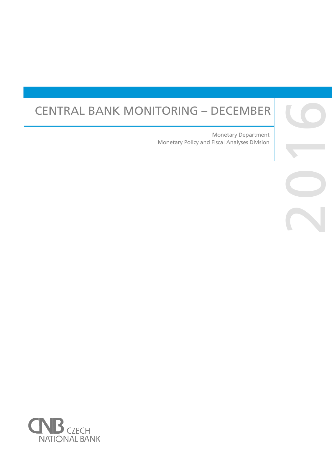# CENTRAL BANK MONITORING – DECEMBER

Monetary Policy and Fiscal Analyses Division Monetary Department



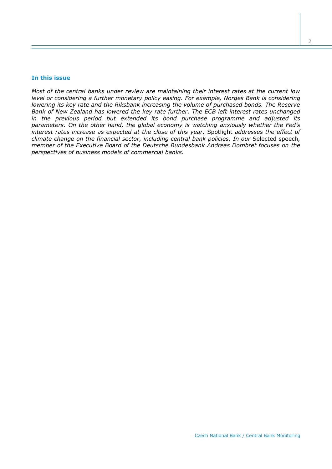## **In this issue**

*Most of the central banks under review are maintaining their interest rates at the current low level or considering a further monetary policy easing. For example, Norges Bank is considering lowering its key rate and the Riksbank increasing the volume of purchased bonds. The Reserve Bank of New Zealand has lowered the key rate further. The ECB left interest rates unchanged in the previous period but extended its bond purchase programme and adjusted its parameters. On the other hand, the global economy is watching anxiously whether the Fed's interest rates increase as expected at the close of this year.* Spotlight *addresses the effect of climate change on the financial sector, including central bank policies. In our* Selected speech*, member of the Executive Board of the Deutsche Bundesbank Andreas Dombret focuses on the perspectives of business models of commercial banks.*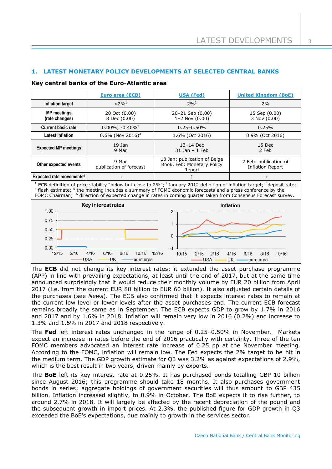3

## **1. LATEST MONETARY POLICY DEVELOPMENTS AT SELECTED CENTRAL BANKS**

#### **Key central banks of the Euro-Atlantic area**

|                                                                                                                                                                                                                                                                                                                                                                                                                                | <b>Euro area (ECB)</b>            | <b>USA (Fed)</b>                                                     | <b>United Kingdom (BoE)</b>                      |  |  |  |  |
|--------------------------------------------------------------------------------------------------------------------------------------------------------------------------------------------------------------------------------------------------------------------------------------------------------------------------------------------------------------------------------------------------------------------------------|-----------------------------------|----------------------------------------------------------------------|--------------------------------------------------|--|--|--|--|
| Inflation target                                                                                                                                                                                                                                                                                                                                                                                                               | $< 2\%$ <sup>1</sup>              | $2\%^{2}$                                                            | 2%                                               |  |  |  |  |
| <b>MP</b> meetings<br>(rate changes)                                                                                                                                                                                                                                                                                                                                                                                           | 20 Oct (0.00)<br>8 Dec (0.00)     | 20-21 Sep (0.00)<br>$1 - 2$ Nov $(0.00)$                             | 15 Sep (0.00)<br>3 Nov (0.00)                    |  |  |  |  |
| <b>Current basic rate</b>                                                                                                                                                                                                                                                                                                                                                                                                      | $0.00\%$ ; $-0.40\%$ <sup>3</sup> | $0.25 - 0.50%$                                                       | 0.25%                                            |  |  |  |  |
| <b>Latest inflation</b>                                                                                                                                                                                                                                                                                                                                                                                                        | $0.6\%$ (Nov 2016) <sup>4</sup>   | 1.6% (Oct 2016)                                                      | 0.9% (Oct 2016)                                  |  |  |  |  |
| <b>Expected MP meetings</b>                                                                                                                                                                                                                                                                                                                                                                                                    | 19 Jan<br>9 Mar                   | 13-14 Dec<br>31 Jan - 1 Feb                                          | 15 Dec<br>2 Feb                                  |  |  |  |  |
| Other expected events                                                                                                                                                                                                                                                                                                                                                                                                          | 9 Mar<br>publication of forecast  | 18 Jan: publication of Beige<br>Book, Feb: Monetary Policy<br>Report | 2 Feb: publication of<br><b>Inflation Report</b> |  |  |  |  |
| Expected rate movements <sup>6</sup>                                                                                                                                                                                                                                                                                                                                                                                           |                                   |                                                                      |                                                  |  |  |  |  |
| <sup>1</sup> ECB definition of price stability "below but close to 2%"; <sup>2</sup> January 2012 definition of inflation target; <sup>3</sup> deposit rate;<br><sup>4</sup> flash estimate; <sup>5</sup> the meeting includes a summary of FOMC economic forecasts and a press conference by the<br>FOMC Chairman; <sup>6</sup> direction of expected change in rates in coming quarter taken from Consensus Forecast survey. |                                   |                                                                      |                                                  |  |  |  |  |
| Key interest rates<br>1.00<br>0.75                                                                                                                                                                                                                                                                                                                                                                                             |                                   | Inflation<br>$\overline{2}$                                          |                                                  |  |  |  |  |
| 0.50<br>0.25<br>0.00                                                                                                                                                                                                                                                                                                                                                                                                           |                                   | $\mathbf{1}$<br>$\Omega$                                             |                                                  |  |  |  |  |
| 12/15<br>2/16<br>6/16<br>4/16<br>8/16<br>10/16<br>12/16<br>10/15<br>4/16<br>6/16<br>12/15<br>2/16<br>8/16<br>10/16<br>·UK<br><b>USA</b><br>-USA —<br>euro area<br>UK - euro area                                                                                                                                                                                                                                               |                                   |                                                                      |                                                  |  |  |  |  |

The **ECB** did not change its key interest rates; it extended the asset purchase programme (APP) in line with prevailing expectations, at least until the end of 2017, but at the same time announced surprisingly that it would reduce their monthly volume by EUR 20 billion from April 2017 (i.e. from the current EUR 80 billion to EUR 60 billion). It also adjusted certain details of the purchases (see *News*). The ECB also confirmed that it expects interest rates to remain at the current low level or lower levels after the asset purchases end. The current ECB forecast remains broadly the same as in September. The ECB expects GDP to grow by 1.7% in 2016 and 2017 and by 1.6% in 2018. Inflation will remain very low in 2016 (0.2%) and increase to 1.3% and 1.5% in 2017 and 2018 respectively.

The **Fed** left interest rates unchanged in the range of 0.25–0.50% in November. Markets expect an increase in rates before the end of 2016 practically with certainty. Three of the ten FOMC members advocated an interest rate increase of 0.25 pp at the November meeting. According to the FOMC, inflation will remain low. The Fed expects the 2% target to be hit in the medium term. The GDP growth estimate for Q3 was 3.2% as against expectations of 2.9%, which is the best result in two years, driven mainly by exports.

The **BoE** left its key interest rate at 0.25%. It has purchased bonds totalling GBP 10 billion since August 2016; this programme should take 18 months. It also purchases government bonds in series; aggregate holdings of government securities will thus amount to GBP 435 billion. Inflation increased slightly, to 0.9% in October. The BoE expects it to rise further, to around 2.7% in 2018. It will largely be affected by the recent depreciation of the pound and the subsequent growth in import prices. At 2.3%, the published figure for GDP growth in Q3 exceeded the BoE's expectations, due mainly to growth in the services sector.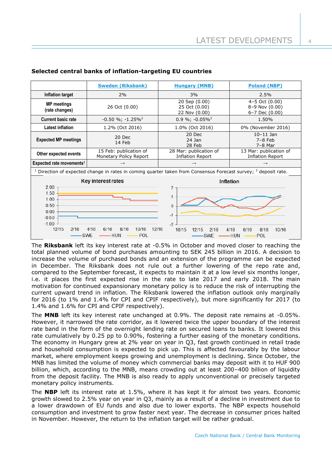|                                                                                                                                                                                      | <b>Sweden (Riksbank)</b><br><b>Hungary (MNB)</b> |                                                   | <b>Poland (NBP)</b>                                |  |  |  |
|--------------------------------------------------------------------------------------------------------------------------------------------------------------------------------------|--------------------------------------------------|---------------------------------------------------|----------------------------------------------------|--|--|--|
| Inflation target                                                                                                                                                                     | 2%                                               | 3%                                                | 2.5%                                               |  |  |  |
| <b>MP</b> meetings<br>26 Oct (0.00)<br>(rate changes)                                                                                                                                |                                                  | 20 Sep (0.00)<br>25 Oct (0.00)<br>22 Nov (0.00)   | 4-5 Oct (0.00)<br>8-9 Nov (0.00)<br>6-7 Dec (0.00) |  |  |  |
| <b>Current basic rate</b>                                                                                                                                                            | $-0.50 \%$ ; $-1.25\%$ <sup>2</sup>              | $0.9\%$ ; -0.05% <sup>2</sup>                     | 1.50%                                              |  |  |  |
| <b>Latest inflation</b>                                                                                                                                                              | 1.2% (Oct 2016)                                  | 1.0% (Oct 2016)                                   | 0% (November 2016)                                 |  |  |  |
| <b>Expected MP meetings</b>                                                                                                                                                          | 20 Dec<br>14 Feb                                 |                                                   | $10 - 11$ Jan<br>$7-8$ Feb<br>$7-8$ Mar            |  |  |  |
| 15 Feb: publication of<br>Other expected events<br>Monetary Policy Report                                                                                                            |                                                  | 28 Mar: publication of<br><b>Inflation Report</b> | 13 Mar: publication of<br><b>Inflation Report</b>  |  |  |  |
| Expected rate movements <sup>1</sup>                                                                                                                                                 | $\rightarrow$                                    | $\rightarrow$                                     | $\rightarrow$                                      |  |  |  |
| <sup>1</sup> Direction of expected change in rates in coming quarter taken from Consensus Forecast survey; $^2$ deposit rate.                                                        |                                                  |                                                   |                                                    |  |  |  |
| 2.00<br>1.50                                                                                                                                                                         | Key interest rates                               | <b>Inflation</b><br>2                             |                                                    |  |  |  |
| 1<br>1.00<br>0.50<br>0<br>0.00<br>$-1$<br>$-0.50$<br>$-1.00$<br>$-2$                                                                                                                 |                                                  |                                                   |                                                    |  |  |  |
| 12/15<br>12/16<br>2/16<br>4/16<br>6/16<br>8/16<br>10/16<br>10/15<br>12/15<br>4/16<br>6/16<br>8/16<br>10/16<br>2/16<br>POL<br><b>SWE</b><br>– HUN<br>-HUN<br><b>POL</b><br><b>SWE</b> |                                                  |                                                   |                                                    |  |  |  |

## **Selected central banks of inflation-targeting EU countries**

The **Riksbank** left its key interest rate at -0.5% in October and moved closer to reaching the total planned volume of bond purchases amounting to SEK 245 billion in 2016. A decision to increase the volume of purchased bonds and an extension of the programme can be expected in December. The Riksbank does not rule out a further lowering of the repo rate and, compared to the September forecast, it expects to maintain it at a low level six months longer, i.e. it places the first expected rise in the rate to late 2017 and early 2018. The main motivation for continued expansionary monetary policy is to reduce the risk of interrupting the current upward trend in inflation. The Riksbank lowered the inflation outlook only marginally for 2016 (to 1% and 1.4% for CPI and CPIF respectively), but more significantly for 2017 (to 1.4% and 1.6% for CPI and CPIF respectively).

The **MNB** left its key interest rate unchanged at 0.9%. The deposit rate remains at -0.05%. However, it narrowed the rate corridor, as it lowered twice the upper boundary of the interest rate band in the form of the overnight lending rate on secured loans to banks. It lowered this rate cumulatively by 0.25 pp to 0.90%, fostering a further easing of the monetary conditions. The economy in Hungary grew at 2% year on year in Q3, fast growth continued in retail trade and household consumption is expected to pick up. This is affected favourably by the labour market, where employment keeps growing and unemployment is declining. Since October, the MNB has limited the volume of money which commercial banks may deposit with it to HUF 900 billion, which, according to the MNB, means crowding out at least 200–400 billion of liquidity from the deposit facility. The MNB is also ready to apply unconventional or precisely targeted monetary policy instruments.

The **NBP** left its interest rate at 1.5%, where it has kept it for almost two years. Economic growth slowed to 2.5% year on year in Q3, mainly as a result of a decline in investment due to a lower drawdown of EU funds and also due to lower exports. The NBP expects household consumption and investment to grow faster next year. The decrease in consumer prices halted in November. However, the return to the inflation target will be rather gradual.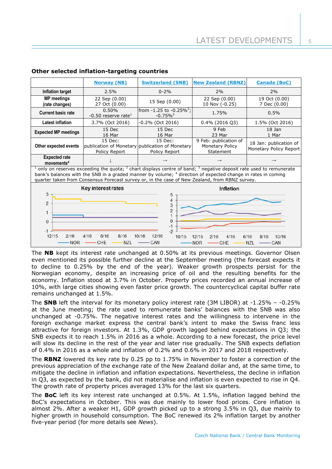|                                                                                                                                                                                                                                                                                                                                             | <b>Norway (NB)</b>                       | <b>Switzerland (SNB)</b>                                                    | <b>New Zealand (RBNZ)</b>                                    | <b>Canada (BoC)</b>                              |  |  |  |
|---------------------------------------------------------------------------------------------------------------------------------------------------------------------------------------------------------------------------------------------------------------------------------------------------------------------------------------------|------------------------------------------|-----------------------------------------------------------------------------|--------------------------------------------------------------|--------------------------------------------------|--|--|--|
| <b>Inflation target</b>                                                                                                                                                                                                                                                                                                                     | 2.5%                                     | $0 - 2%$                                                                    | 2%                                                           | 2%                                               |  |  |  |
| <b>MP</b> meetings<br>(rate changes)                                                                                                                                                                                                                                                                                                        | 22 Sep (0.00)<br>27 Oct (0.00)           | 15 Sep (0.00)                                                               | 22 Sep (0.00)<br>10 Nov (-0.25)                              | 19 Oct (0.00)<br>7 Dec (0.00)                    |  |  |  |
| <b>Current basic rate</b>                                                                                                                                                                                                                                                                                                                   | 0.50%<br>-0.50 reserve rate <sup>1</sup> | from $-1.25$ to $-0.25\%^2$ ;<br>$-0.75\%$ <sup>3</sup>                     | 1.75%                                                        | 0.5%                                             |  |  |  |
| Latest inflation                                                                                                                                                                                                                                                                                                                            | 3.7% (Oct 2016)                          | -0.2% (Oct 2016)                                                            | $0.4\%$ (2016 Q3)                                            | 1.5% (Oct 2016)                                  |  |  |  |
| <b>Expected MP meetings</b>                                                                                                                                                                                                                                                                                                                 | 15 Dec<br>16 Mar                         | 15 Dec<br>16 Mar                                                            | 9 Feb<br>23 Mar                                              | 18 Jan<br>1 Mar                                  |  |  |  |
| Other expected events                                                                                                                                                                                                                                                                                                                       | 15 Dec:<br>Policy Report                 | 15 Dec:<br>publication of Monetary publication of Monetary<br>Policy Report | 9 Feb: publication of<br><b>Monetary Policy</b><br>Statement | 18 Jan: publication of<br>Monetary Policy Report |  |  |  |
| <b>Expected rate</b><br>movements <sup>4</sup>                                                                                                                                                                                                                                                                                              |                                          |                                                                             |                                                              |                                                  |  |  |  |
| $1$ only on reserves exceeding the quota; $2$ chart displays centre of band; $3$ negative deposit rate used to remunerate<br>bank's balances with the SNB in a graded manner by volume; 4 direction of expected change in rates in coming<br>quarter taken from Consensus Forecast survey or, in the case of New Zealand, from RBNZ survey. |                                          |                                                                             |                                                              |                                                  |  |  |  |
| Key interest rates<br>Inflation                                                                                                                                                                                                                                                                                                             |                                          |                                                                             |                                                              |                                                  |  |  |  |
| 3<br>5<br>4<br>$\overline{2}$<br>3<br>$\overline{2}$<br>1<br>$\Omega$<br>$\mathbf{0}$<br>-1<br>-2<br>$-1$<br>12/15<br>12/16<br>2/16<br>4/16<br>6/16<br>8/16<br>10/16<br>10/15<br>12/15<br>6/16<br>4/16<br>10/16<br>2/16<br>8/16<br>CHE<br><b>NZL</b><br>CAN<br>NOR<br>NOR<br><b>NZL</b><br>CAN<br>CHE                                       |                                          |                                                                             |                                                              |                                                  |  |  |  |

## **Other selected inflation-targeting countries**

The **NB** kept its interest rate unchanged at 0.50% at its previous meetings. Governor Olsen even mentioned its possible further decline at the September meeting (the forecast expects it to decline to 0.25% by the end of the year). Weaker growth prospects persist for the Norwegian economy, despite an increasing price of oil and the resulting benefits for the economy. Inflation stood at 3.7% in October. Property prices recorded an annual increase of 10%, with large cities showing even faster price growth. The countercyclical capital buffer rate remains unchanged at 1.5%.

The **SNB** left the interval for its monetary policy interest rate (3M LIBOR) at -1.25% – -0.25% at the June meeting; the rate used to remunerate banks' balances with the SNB was also unchanged at -0.75%. The negative interest rates and the willingness to intervene in the foreign exchange market express the central bank's intent to make the Swiss franc less attractive for foreign investors. At 1.3%, GDP growth lagged behind expectations in Q3; the SNB expects it to reach 1.5% in 2016 as a whole. According to a new forecast, the price level will slow its decline in the rest of the year and later rise gradually. The SNB expects deflation of 0.4% in 2016 as a whole and inflation of 0.2% and 0.6% in 2017 and 2018 respectively.

The **RBNZ** lowered its key rate by 0.25 pp to 1.75% in November to foster a correction of the previous appreciation of the exchange rate of the New Zealand dollar and, at the same time, to mitigate the decline in inflation and inflation expectations. Nevertheless, the decline in inflation in Q3, as expected by the bank, did not materialise and inflation is even expected to rise in Q4. The growth rate of property prices averaged 13% for the last six quarters.

The **BoC** left its key interest rate unchanged at 0.5%. At 1.5%, inflation lagged behind the BoC's expectations in October. This was due mainly to lower food prices. Core inflation is almost 2%. After a weaker H1, GDP growth picked up to a strong 3.5% in Q3, due mainly to higher growth in household consumption. The BoC renewed its 2% inflation target by another five-year period (for more details see *News*).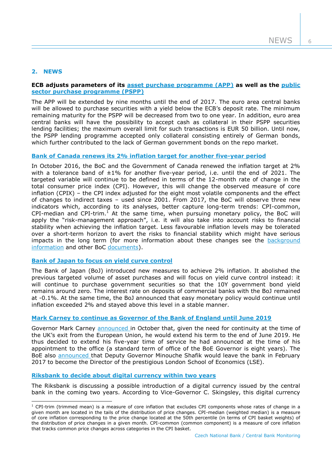6

## **2. NEWS**

1

## **ECB adjusts parameters of its [asset purchase programme \(APP\)](https://www.ecb.europa.eu/press/pr/date/2016/html/pr161208_1.en.html) as well as the [public](https://www.ecb.europa.eu/press/pr/date/2016/html/pr161208_2.en.html)  [sector purchase programme \(PSPP\)](https://www.ecb.europa.eu/press/pr/date/2016/html/pr161208_2.en.html)**

The APP will be extended by nine months until the end of 2017. The euro area central banks will be allowed to purchase securities with a yield below the ECB's deposit rate. The minimum remaining maturity for the PSPP will be decreased from two to one year. In addition, euro area central banks will have the possibility to accept cash as collateral in their PSPP securities lending facilities; the maximum overall limit for such transactions is EUR 50 billion. Until now, the PSPP lending programme accepted only collateral consisting entirely of German bonds, which further contributed to the lack of German government bonds on the repo market.

## **[Bank of Canada renews its 2% inflation target for another five-year period](http://www.bankofcanada.ca/2016/10/renewal-of-the-inflation-control-target-2016/)**

In October 2016, the BoC and the Government of Canada renewed the inflation target at 2% with a tolerance band of  $\pm 1\%$  for another five-year period, i.e. until the end of 2021. The targeted variable will continue to be defined in terms of the 12-month rate of change in the total consumer price index (CPI). However, this will change the observed measure of core inflation (CPIX) – the CPI index adjusted for the eight most volatile components and the effect of changes to indirect taxes – used since 2001. From 2017, the BoC will observe three new indicators which, according to its analyses, better capture long-term trends: CPI-common, CPI-median and CPI-trim.<sup>1</sup> At the same time, when pursuing monetary policy, the BoC will apply the "risk-management approach", i.e. it will also take into account risks to financial stability when achieving the inflation target. Less favourable inflation levels may be tolerated over a short-term horizon to avert the risks to financial stability which might have serious impacts in the long term (for more information about these changes see the background [information](http://www.bankofcanada.ca/wp-content/uploads/2016/10/background_nov11.pdf) and other BoC [documents\)](http://www.bankofcanada.ca/core-functions/monetary-policy/renewing-canadas-inflation-control-agreement/).

## **[Bank of Japan to focus on yield curve control](https://www.boj.or.jp/en/mopo/outline/qqe.htm/)**

The Bank of Japan (BoJ) introduced new measures to achieve 2% inflation. It abolished the previous targeted volume of asset purchases and will focus on yield curve control instead: it will continue to purchase government securities so that the 10Y government bond yield remains around zero. The interest rate on deposits of commercial banks with the BoJ remained at -0.1%. At the same time, the BoJ announced that easy monetary policy would continue until inflation exceeded 2% and stayed above this level in a stable manner.

## **[Mark Carney to continue as Governor of the Bank of England until June 2019](http://www.bankofengland.co.uk/publications/Pages/news/2016/080.aspx)**

Governor Mark Carney [announced i](http://www.bankofengland.co.uk/publications/Documents/other/governorletter311016.pdf)n October that, given the need for continuity at the time of the UK's exit from the European Union, he would extend his term to the end of June 2019. He thus decided to extend his five-year time of service he had announced at the time of his appointment to the office (a standard term of office of the BoE Governor is eight years). The BoE also [announced t](http://www.bankofengland.co.uk/publications/Pages/news/2016/067.aspx)hat Deputy Governor Minouche Shafik would leave the bank in February 2017 to become the Director of the prestigious London School of Economics (LSE).

## **[Riksbank to decide about digital currency within two years](http://www.riksbank.se/en/Press-and-published/Speeches/2016/Skingsley-Should-the-Riksbank-issue-e-krona/)**

The Riksbank is discussing a possible introduction of a digital currency issued by the central bank in the coming two years. According to Vice-Governor C. Skingsley, this digital currency

 $1$  CPI-trim (trimmed mean) is a measure of core inflation that excludes CPI components whose rates of change in a given month are located in the tails of the distribution of price changes. CPI-median (weighted median) is a measure of core inflation corresponding to the price change located at the 50th percentile (in terms of CPI basket weights) of the distribution of price changes in a given month. CPI-common (common component) is a measure of core inflation that tracks common price changes across categories in the CPI basket.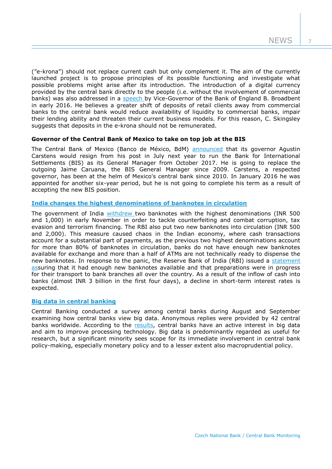7

("e-krona") should not replace current cash but only complement it. The aim of the currently launched project is to propose principles of its possible functioning and investigate what possible problems might arise after its introduction. The introduction of a digital currency provided by the central bank directly to the people (i.e. without the involvement of commercial banks) was also addressed in a [speech b](http://www.bankofengland.co.uk/publications/Pages/speeches/2016/886.aspx)y Vice-Governor of the Bank of England B. Broadbent in early 2016. He believes a greater shift of deposits of retail clients away from commercial banks to the central bank would reduce availability of liquidity to commercial banks, impair their lending ability and threaten their current business models. For this reason, C. Skingsley suggests that deposits in the e-krona should not be remunerated.

## **Governor of the Central Bank of Mexico to take on top job at the BIS**

The Central Bank of Mexico (Banco de México, BdM) [announced](http://www.banxico.org.mx/informacion-para-la-prensa/comunicados/miscelaneos/boletines/%7B1ADDC753-164D-9446-2454-201D2D9509BD%7D.pdf) that its governor Agustin Carstens would resign from his post in July next year to run the Bank for International Settlements (BIS) as its General Manager from October 2017. He is going to replace the outgoing Jaime Caruana, the BIS General Manager since 2009. Carstens, a respected governor, has been at the helm of Mexico's central bank since 2010. In January 2016 he was appointed for another six-year period, but he is not going to complete his term as a result of accepting the new BIS position.

## **[India changes the highest denominations of banknotes in circulation](https://rbi.org.in/Scripts/BS_PressReleaseDisplay.aspx?prid=38520)**

The government of India [withdrew t](http://finmin.nic.in/press_room/2016/press_cancellation_high_denomination_notes.pdf)wo banknotes with the highest denominations (INR 500 and 1,000) in early November in order to tackle counterfeiting and combat corruption, tax evasion and terrorism financing. The RBI also put two new banknotes into circulation (INR 500 and 2,000). This measure caused chaos in the Indian economy, where cash transactions account for a substantial part of payments, as the previous two highest denominations account for more than 80% of banknotes in circulation, banks do not have enough new banknotes available for exchange and more than a half of ATMs are not technically ready to dispense the new banknotes. In response to the panic, the Reserve Bank of India (RBI) issued a [statement](https://rbi.org.in/Scripts/BS_PressReleaseDisplay.aspx?prid=38568)  assuring that it had enough new banknotes available and that preparations were in progress for their transport to bank branches all over the country. As a result of the inflow of cash into banks (almost INR 3 billion in the first four days), a decline in short-term interest rates is expected.

#### **[Big data in central banking](http://www.centralbanking.com/central-banking/feature/2474825/big-data-in-central-banking-2016-survey)**

Central Banking conducted a survey among central banks during August and September examining how central banks view big data. Anonymous replies were provided by 42 central banks worldwide. According to the [results,](http://www.centralbanking.com/digital_assets/10569/066-083_CB27.2_Nov2016_Survey.pdf) central banks have an active interest in big data and aim to improve processing technology. Big data is predominantly regarded as useful for research, but a significant minority sees scope for its immediate involvement in central bank policy-making, especially monetary policy and to a lesser extent also macroprudential policy.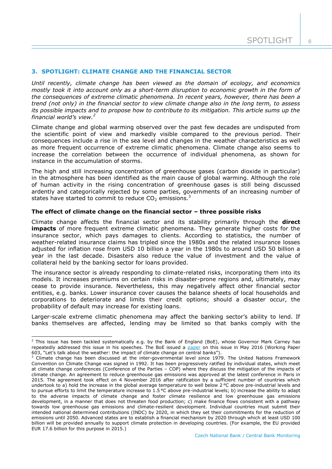## **3. SPOTLIGHT: CLIMATE CHANGE AND THE FINANCIAL SECTOR**

*Until recently, climate change has been viewed as the domain of ecology, and economics mostly took it into account only as a short-term disruption to economic growth in the form of the consequences of extreme climatic phenomena. In recent years, however, there has been a trend (not only) in the financial sector to view climate change also in the long term, to assess its possible impacts and to propose how to contribute to its mitigation. This article sums up the financial world's view.<sup>2</sup>*

Climate change and global warming observed over the past few decades are undisputed from the scientific point of view and markedly visible compared to the previous period. Their consequences include a rise in the sea level and changes in the weather characteristics as well as more frequent occurrence of extreme climatic phenomena. Climate change also seems to increase the correlation between the occurrence of individual phenomena, as shown for instance in the accumulation of storms.

The high and still increasing concentration of greenhouse gases (carbon dioxide in particular) in the atmosphere has been identified as the main cause of global warming. Although the role of human activity in the rising concentration of greenhouse gases is still being discussed ardently and categorically rejected by some parties, governments of an increasing number of states have started to commit to reduce  $CO<sub>2</sub>$  emissions.<sup>3</sup>

## **The effect of climate change on the financial sector – three possible risks**

Climate change affects the financial sector and its stability primarily through the **direct impacts** of more frequent extreme climatic phenomena. They generate higher costs for the insurance sector, which pays damages to clients. According to statistics, the number of weather-related insurance claims has tripled since the 1980s and the related insurance losses adjusted for inflation rose from USD 10 billion a year in the 1980s to around USD 50 billion a year in the last decade. Disasters also reduce the value of investment and the value of collateral held by the banking sector for loans provided.

The insurance sector is already responding to climate-related risks, incorporating them into its models. It increases premiums on certain risks in disaster-prone regions and, ultimately, may cease to provide insurance. Nevertheless, this may negatively affect other financial sector entities, e.g. banks. Lower insurance cover causes the balance sheets of local households and corporations to deteriorate and limits their credit options; should a disaster occur, the probability of default may increase for existing loans.

Larger-scale extreme climatic phenomena may affect the banking sector's ability to lend. If banks themselves are affected, lending may be limited so that banks comply with the

-

<sup>&</sup>lt;sup>2</sup> This issue has been tackled systematically e.g. by the Bank of England (BoE), whose Governor Mark Carney has repeatedly addressed this issue in his speeches. The BoE issued a [paper](http://www.bankofengland.co.uk/research/Pages/workingpapers/2016/swp603.aspx) on this issue in May 2016 (Working Paper 603, "Let's talk about the weather: the impact of climate change on central banks").

<sup>&</sup>lt;sup>3</sup> Climate change has been discussed at the inter-governmental level since 1979. The United Nations Framework Convention on Climate Change was signed in 1992. It has been progressively ratified by individual states, which meet at climate change conferences (Conference of the Parties – COP) where they discuss the mitigation of the impacts of climate change. An agreement to reduce greenhouse gas emissions was approved at the latest conference in Paris in 2015. The agreement took effect on 4 November 2016 after ratification by a sufficient number of countries which undertook to a) hold the increase in the global average temperature to well below 2 °C above pre-industrial levels and to pursue efforts to limit the temperature increase to 1.5 °C above pre-industrial levels; b) increase the ability to adapt to the adverse impacts of climate change and foster climate resilience and low greenhouse gas emissions development, in a manner that does not threaten food production; c) make finance flows consistent with a pathway towards low greenhouse gas emissions and climate-resilient development. Individual countries must submit their intended national determined contributions (INDC) by 2020, in which they set their commitments for the reduction of emissions until 2050. Advanced states are to establish a financial mechanism by 2020 through which at least USD 100 billion will be provided annually to support climate protection in developing countries. (For example, the EU provided EUR 17.6 billion for this purpose in 2015.)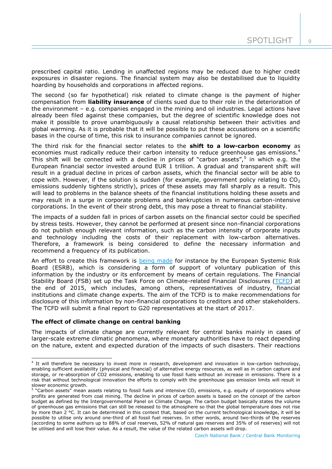$\cup$ 

prescribed capital ratio. Lending in unaffected regions may be reduced due to higher credit exposures in disaster regions. The financial system may also be destabilised due to liquidity hoarding by households and corporations in affected regions.

The second (so far hypothetical) risk related to climate change is the payment of higher compensation from **liability insurance** of clients sued due to their role in the deterioration of the environment – e.g. companies engaged in the mining and oil industries. Legal actions have already been filed against these companies, but the degree of scientific knowledge does not make it possible to prove unambiguously a causal relationship between their activities and global warming. As it is probable that it will be possible to put these accusations on a scientific bases in the course of time, this risk to insurance companies cannot be ignored.

The third risk for the financial sector relates to the **shift to a low-carbon economy** as economies must radically reduce their carbon intensity to reduce greenhouse gas emissions.<sup>4</sup> This shift will be connected with a decline in prices of "carbon assets", $5$  in which e.g. the European financial sector invested around EUR 1 trillion. A gradual and transparent shift will result in a gradual decline in prices of carbon assets, which the financial sector will be able to cope with. However, if the solution is sudden (for example, government policy relating to  $CO<sub>2</sub>$ emissions suddenly tightens strictly), prices of these assets may fall sharply as a result. This will lead to problems in the balance sheets of the financial institutions holding these assets and may result in a surge in corporate problems and bankruptcies in numerous carbon-intensive corporations. In the event of their strong debt, this may pose a threat to financial stability.

The impacts of a sudden fall in prices of carbon assets on the financial sector could be specified by stress tests. However, they cannot be performed at present since non-financial corporations do not publish enough relevant information, such as the carbon intensity of corporate inputs and technology including the costs of their replacement with low-carbon alternatives. Therefore, a framework is being considered to define the necessary information and recommend a frequency of its publication.

An effort to create this framework is [being made](https://www.esrb.europa.eu/pub/pdf/asc/Reports_ASC_6_1602.pdf) for instance by the European Systemic Risk Board (ESRB), which is considering a form of support of voluntary publication of this information by the industry or its enforcement by means of certain regulations. The Financial Stability Board (FSB) set up the Task Force on Climate-related Financial Disclosures [\(TCFD\)](https://www.fsb-tcfd.org/) at the end of 2015, which includes, among others, representatives of industry, financial institutions and climate change experts. The aim of the TCFD is to make recommendations for disclosure of this information by non-financial corporations to creditors and other stakeholders. The TCFD will submit a final report to G20 representatives at the start of 2017.

#### **The effect of climate change on central banking**

-

The impacts of climate change are currently relevant for central banks mainly in cases of larger-scale extreme climatic phenomena, where monetary authorities have to react depending on the nature, extent and expected duration of the impacts of such disasters. Their reactions

<sup>4</sup> It will therefore be necessary to invest more in research, development and innovation in low-carbon technology, enabling sufficient availability (physical and financial) of alternative energy resources, as well as in carbon capture and storage, or re-absorption of CO2 emissions, enabling to use fossil fuels without an increase in emissions. There is a risk that without technological innovation the efforts to comply with the greenhouse gas emission limits will result in slower economic growth.

 $5$  "Carbon assets" mean assets relating to fossil fuels and intensive CO<sub>2</sub> emissions, e.g. equity of corporations whose profits are generated from coal mining. The decline in prices of carbon assets is based on the concept of the carbon budget as defined by the Intergovernmental Panel on Climate Change. The carbon budget basically states the volume of greenhouse gas emissions that can still be released to the atmosphere so that the global temperature does not rise by more than 2 °C. It can be determined in this context that, based on the current technological knowledge, it will be possible to utilise only around one-third of all fossil fuel reserves. In other words, around two-thirds of the reserves (according to some authors up to 88% of coal reserves, 52% of natural gas reserves and 35% of oil reserves) will not be utilised and will lose their value. As a result, the value of the related carbon assets will drop.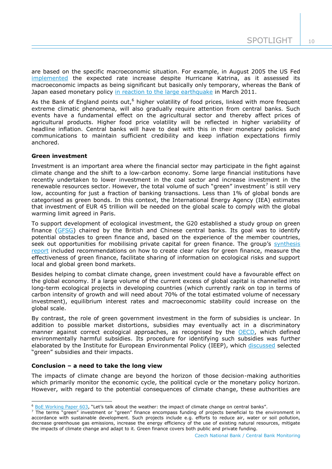are based on the specific macroeconomic situation. For example, in August 2005 the US Fed [implemented](https://www.federalreserve.gov/boarddocs/press/monetary/2005/20050920/) the expected rate increase despite Hurricane Katrina, as it assessed its macroeconomic impacts as being significant but basically only temporary, whereas the Bank of Japan eased monetary policy [in reaction to the large earthquake](https://www.boj.or.jp/en/announcements/release_2011/k110804a.pdf) in March 2011.

As the Bank of England points out,<sup>6</sup> higher volatility of food prices, linked with more frequent extreme climatic phenomena, will also gradually require attention from central banks. Such events have a fundamental effect on the agricultural sector and thereby affect prices of agricultural products. Higher food price volatility will be reflected in higher variability of headline inflation. Central banks will have to deal with this in their monetary policies and communications to maintain sufficient credibility and keep inflation expectations firmly anchored.

## **Green investment**

Investment is an important area where the financial sector may participate in the fight against climate change and the shift to a low-carbon economy. Some large financial institutions have recently undertaken to lower investment in the coal sector and increase investment in the renewable resources sector. However, the total volume of such "green" investment<sup>7</sup> is still very low, accounting for just a fraction of banking transactions. Less than 1% of global bonds are categorised as green bonds. In this context, the International Energy Agency (IEA) estimates that investment of EUR 45 trillion will be needed on the global scale to comply with the global warming limit agreed in Paris.

To support development of ecological investment, the G20 established a study group on green finance [\(GFSG\)](http://unepinquiry.org/g20greenfinancerepositoryeng/) chaired by the British and Chinese central banks. Its goal was to identify potential obstacles to green finance and, based on the experience of the member countries, seek out opportunities for mobilising private capital for green finance. The group's synthesis [report](http://unepinquiry.org/wp-content/uploads/2016/09/Synthesis_Report_Full_EN.pdf) included recommendations on how to create clear rules for green finance, measure the effectiveness of green finance, facilitate sharing of information on ecological risks and support local and global green bond markets.

Besides helping to combat climate change, green investment could have a favourable effect on the global economy. If a large volume of the current excess of global capital is channelled into long-term ecological projects in developing countries (which currently rank on top in terms of carbon intensity of growth and will need about 70% of the total estimated volume of necessary investment), equilibrium interest rates and macroeconomic stability could increase on the global scale.

By contrast, the role of green government investment in the form of subsidies is unclear. In addition to possible market distortions, subsidies may eventually act in a discriminatory manner against correct ecological approaches, as recognised by the [OECD,](http://www.oecd.org/tad/fisheries/environmentallyharmfulsubsidieschallengesforreform.htm?_sm_au_=iqVF4vT022Z302T6) which defined environmentally harmful subsidies. Its procedure for identifying such subsidies was further elaborated by the Institute for European Environmental Policy (IEEP), which [discussed](http://ec.europa.eu/environment/enveco/taxation/pdf/Harmful%20Subsidies%20Report.pdf) selected "green" subsidies and their impacts.

#### **Conclusion – a need to take the long view**

The impacts of climate change are beyond the horizon of those decision-making authorities which primarily monitor the economic cycle, the political cycle or the monetary policy horizon. However, with regard to the potential consequences of climate change, these authorities are

<sup>1</sup> <sup>6</sup> [BoE Working Paper 603](http://www.bankofengland.co.uk/research/Pages/workingpapers/2016/swp603.aspx), "Let's talk about the weather: the impact of climate change on central banks".

<sup>7</sup> The terms "green" investment or "green" finance encompass funding of projects beneficial to the environment in accordance with sustainable development. Such projects include e.g. efforts to reduce air, water or soil pollution, decrease greenhouse gas emissions, increase the energy efficiency of the use of existing natural resources, mitigate the impacts of climate change and adapt to it. Green finance covers both public and private funding.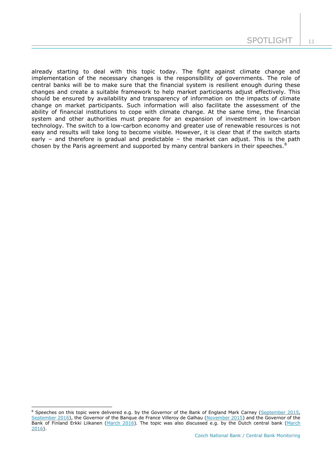already starting to deal with this topic today. The fight against climate change and implementation of the necessary changes is the responsibility of governments. The role of central banks will be to make sure that the financial system is resilient enough during these changes and create a suitable framework to help market participants adjust effectively. This should be ensured by availability and transparency of information on the impacts of climate change on market participants. Such information will also facilitate the assessment of the ability of financial institutions to cope with climate change. At the same time, the financial system and other authorities must prepare for an expansion of investment in low-carbon technology. The switch to a low-carbon economy and greater use of renewable resources is not easy and results will take long to become visible. However, it is clear that if the switch starts early – and therefore is gradual and predictable – the market can adjust. This is the path chosen by the Paris agreement and supported by many central bankers in their speeches.<sup>8</sup>

-

<sup>&</sup>lt;sup>8</sup> Speeches on this topic were delivered e.g. by the Governor of the Bank of England Mark Carney [\(September 2015,](http://www.bankofengland.co.uk/publications/Documents/speeches/2015/speech844.pdf) [September 2016\)](http://www.bankofengland.co.uk/publications/Documents/speeches/2016/speech923.pdf), the Governor of the Banque de France Villeroy de Galhau [\(November 2015\)](http://www.bis.org/review/r151229f.htm) and the Governor of the Bank of Finland Erkki Liikanen [\(March 2016\)](http://www.suomenpankki.fi/en/suomen_pankki/ajankohtaista/tiedotteet/Pages/tiedote06_2016.aspx). The topic was also discussed e.g. by the Dutch central bank (March [2016\)](http://www.dnb.nl/en/news/news-and-archive/dnbulletin-2016/dnb338533.jsp).